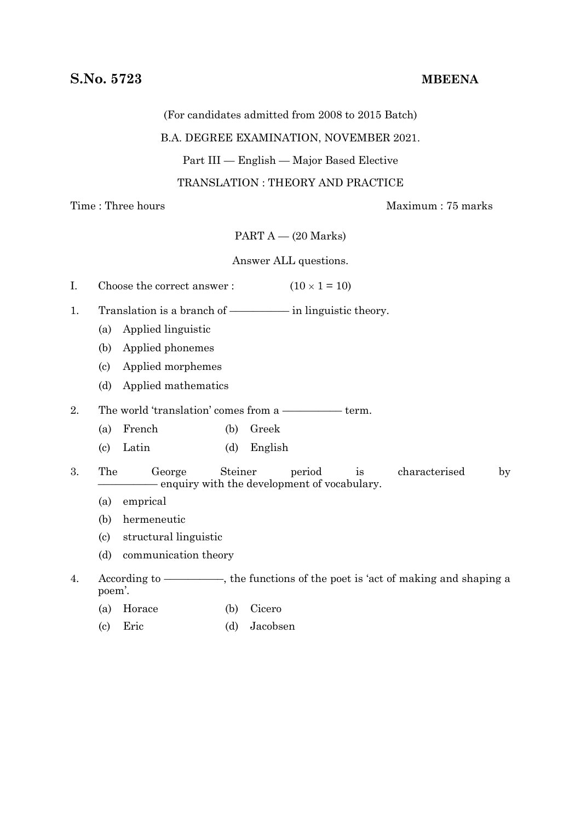(For candidates admitted from 2008 to 2015 Batch)

# B.A. DEGREE EXAMINATION, NOVEMBER 2021.

Part III — English — Major Based Elective

TRANSLATION : THEORY AND PRACTICE

Time : Three hours Maximum : 75 marks

PART  $A - (20$  Marks)

Answer ALL questions.

| I. | Choose the correct answer:                                                              |                                                         |               | $(10 \times 1 = 10)$ |    |               |             |  |
|----|-----------------------------------------------------------------------------------------|---------------------------------------------------------|---------------|----------------------|----|---------------|-------------|--|
| 1. | Translation is a branch of — in linguistic theory.                                      |                                                         |               |                      |    |               |             |  |
|    | (a)                                                                                     | Applied linguistic                                      |               |                      |    |               |             |  |
|    | Applied phonemes<br>(b)                                                                 |                                                         |               |                      |    |               |             |  |
|    | Applied morphemes<br>(c)                                                                |                                                         |               |                      |    |               |             |  |
|    | Applied mathematics<br>(d)                                                              |                                                         |               |                      |    |               |             |  |
| 2. | The world 'translation' comes from a — term.                                            |                                                         |               |                      |    |               |             |  |
|    | (a)                                                                                     | French                                                  | (b)<br>Greek  |                      |    |               |             |  |
|    | $\left( \mathrm{c}\right)$                                                              | Latin                                                   | (d)           | English              |    |               |             |  |
| 3. | The                                                                                     | George<br>- enquiry with the development of vocabulary. | Steiner       | period               | is | characterised | $_{\rm by}$ |  |
|    | (a)                                                                                     | emprical                                                |               |                      |    |               |             |  |
|    | hermeneutic<br>(b)                                                                      |                                                         |               |                      |    |               |             |  |
|    | structural linguistic<br>$\left( \mathrm{c}\right)$                                     |                                                         |               |                      |    |               |             |  |
|    | (d)<br>communication theory                                                             |                                                         |               |                      |    |               |             |  |
| 4. | According to — — —, the functions of the poet is 'act of making and shaping a<br>poem'. |                                                         |               |                      |    |               |             |  |
|    | (a)                                                                                     | Horace                                                  | Cicero<br>(b) |                      |    |               |             |  |

(c) Eric (d) Jacobsen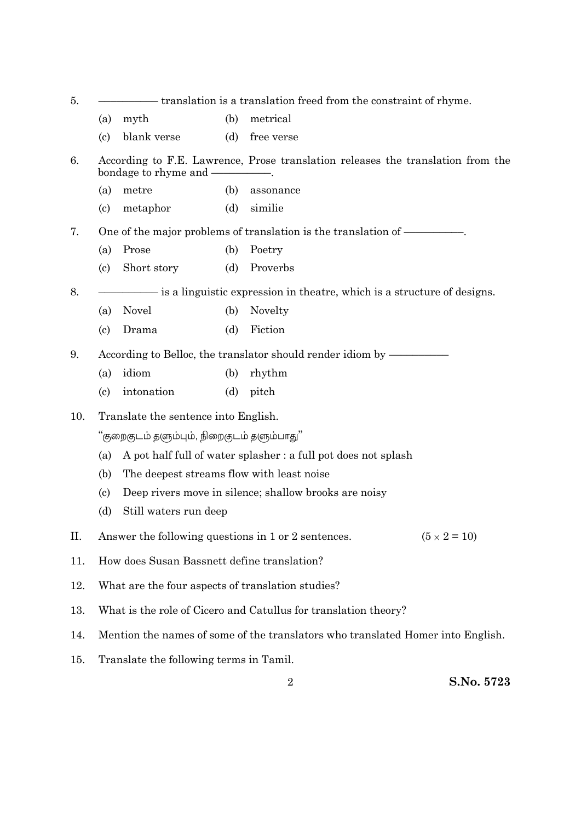| 5.  |                                                                                                                           | — translation is a translation freed from the constraint of rhyme. |     |            |  |  |  |  |  |
|-----|---------------------------------------------------------------------------------------------------------------------------|--------------------------------------------------------------------|-----|------------|--|--|--|--|--|
|     | (a)                                                                                                                       | myth                                                               | (b) | metrical   |  |  |  |  |  |
|     | $\left( \mathrm{c}\right)$                                                                                                | blank verse                                                        | (d) | free verse |  |  |  |  |  |
| 6.  | According to F.E. Lawrence, Prose translation releases the translation from the<br>bondage to rhyme and -                 |                                                                    |     |            |  |  |  |  |  |
|     | (a)                                                                                                                       | metre                                                              | (b) | assonance  |  |  |  |  |  |
|     | $\left( \mathrm{c}\right)$                                                                                                | metaphor                                                           | (d) | similie    |  |  |  |  |  |
| 7.  |                                                                                                                           |                                                                    |     |            |  |  |  |  |  |
|     | (a)                                                                                                                       | Prose                                                              | (b) | Poetry     |  |  |  |  |  |
|     | $\left( \mathrm{c}\right)$                                                                                                | Short story                                                        | (d) | Proverbs   |  |  |  |  |  |
| 8.  | is a linguistic expression in the atree, which is a structure of designs.                                                 |                                                                    |     |            |  |  |  |  |  |
|     | (a)                                                                                                                       | <b>Novel</b>                                                       | (b) | Novelty    |  |  |  |  |  |
|     | $\left( \mathrm{c} \right)$                                                                                               | Drama                                                              | (d) | Fiction    |  |  |  |  |  |
| 9.  |                                                                                                                           |                                                                    |     |            |  |  |  |  |  |
|     | (a)                                                                                                                       | idiom                                                              | (b) | rhythm     |  |  |  |  |  |
|     | $\left( \mathrm{c}\right)$                                                                                                | intonation                                                         | (d) | pitch      |  |  |  |  |  |
| 10. | Translate the sentence into English.                                                                                      |                                                                    |     |            |  |  |  |  |  |
|     | ''குறைகுடம் தளும்பும், நிறைகுடம் தளும்பாது''                                                                              |                                                                    |     |            |  |  |  |  |  |
|     | A pot half full of water splasher : a full pot does not splash<br>(a)<br>The deepest streams flow with least noise<br>(b) |                                                                    |     |            |  |  |  |  |  |
|     |                                                                                                                           |                                                                    |     |            |  |  |  |  |  |
|     | Deep rivers move in silence; shallow brooks are noisy<br>$\left( \mathrm{c} \right)$                                      |                                                                    |     |            |  |  |  |  |  |
|     | Still waters run deep<br>(d)                                                                                              |                                                                    |     |            |  |  |  |  |  |
| П.  | $(5 \times 2 = 10)$<br>Answer the following questions in 1 or 2 sentences.                                                |                                                                    |     |            |  |  |  |  |  |
| 11. | How does Susan Bassnett define translation?                                                                               |                                                                    |     |            |  |  |  |  |  |
| 12. | What are the four aspects of translation studies?                                                                         |                                                                    |     |            |  |  |  |  |  |
| 13. | What is the role of Cicero and Catullus for translation theory?                                                           |                                                                    |     |            |  |  |  |  |  |
| 14. | Mention the names of some of the translators who translated Homer into English.                                           |                                                                    |     |            |  |  |  |  |  |
| 15. | Translate the following terms in Tamil.                                                                                   |                                                                    |     |            |  |  |  |  |  |

2 **S.No. 5723**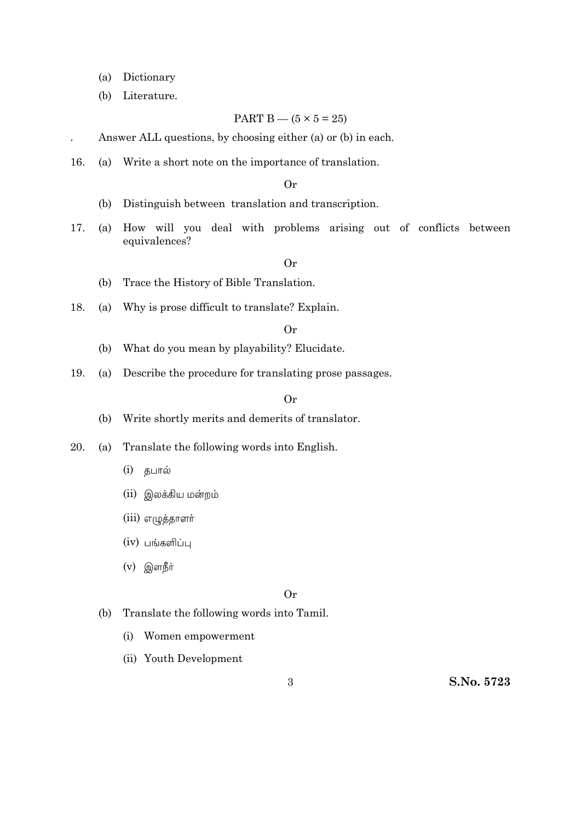- (a) Dictionary
- (b) Literature.

## PART B —  $(5 \times 5 = 25)$

. Answer ALL questions, by choosing either (a) or (b) in each.

16. (a) Write a short note on the importance of translation.

## Or

- (b) Distinguish between translation and transcription.
- 17. (a) How will you deal with problems arising out of conflicts between equivalences?

## Or

- (b) Trace the History of Bible Translation.
- 18. (a) Why is prose difficult to translate? Explain.

# Or

- (b) What do you mean by playability? Elucidate.
- 19. (a) Describe the procedure for translating prose passages.

## Or

- (b) Write shortly merits and demerits of translator.
- 20. (a) Translate the following words into English.
	- (i)
	- (ii) இலக்கிய மன்றம்
	- (iii) எழுத்தாளர்
	- $(iv)$  பங்களிப்பு
	- (v)

## Or

- (b) Translate the following words into Tamil.
	- (i) Women empowerment
	- (ii) Youth Development